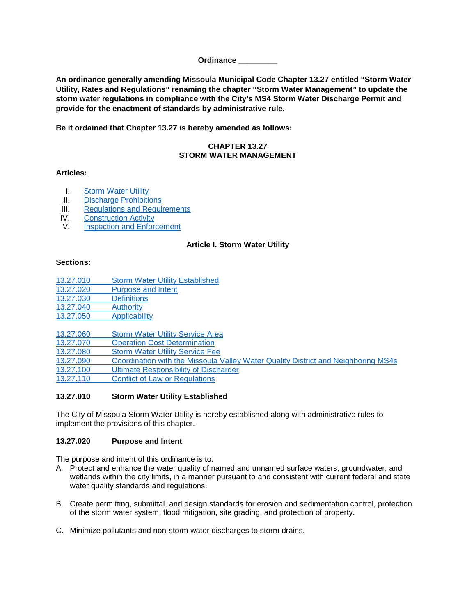#### **Ordinance \_\_\_\_\_\_\_\_\_**

**An ordinance generally amending Missoula Municipal Code Chapter 13.27 entitled "Storm Water Utility, Rates and Regulations" renaming the chapter "Storm Water Management" to update the storm water regulations in compliance with the City's MS4 Storm Water Discharge Permit and provide for the enactment of standards by administrative rule.**

**Be it ordained that Chapter 13.27 is hereby amended as follows:**

#### **CHAPTER 13.27 STORM WATER MANAGEMENT**

#### **Articles:**

- **I.** [Storm Water Utility](#page-0-0)
- II. [Discharge Prohibitions](#page-8-0)
- III. [Regulations and Requirements](#page-10-0)
- IV. [Construction Activity](#page-11-0)<br>V. Inspection and Enfor
- <span id="page-0-0"></span>**[Inspection and Enforcement](#page-15-0)**

#### **Article I. Storm Water Utility**

#### **Sections:**

- 13.27.010 [Storm Water Utility Established](#page-0-1)
- 13.27.020 [Purpose and Intent](#page-0-2)
- 13.27.030 [Definitions](#page-1-0)
- [13.27.040](#page-6-0) Authority
- 13.27.050 [Applicability](#page-6-1)

- 13.27.060 [Storm Water Utility Service Area](#page-6-2)<br>13.27.070 Operation Cost Determination **[Operation Cost Determination](#page-6-3)**
- 13.27.080 [Storm Water Utility Service Fee](#page-7-0)
- 13.27.090 [Coordination with the Missoula Valley Water Quality District and Neighboring MS4s](#page-7-0)
- 13.27.100 [Ultimate Responsibility of Discharger](#page-7-1)
- 13.27.110 [Conflict of Law or Regulations](#page-8-1)

#### <span id="page-0-1"></span>**13.27.010 Storm Water Utility Established**

The City of Missoula Storm Water Utility is hereby established along with administrative rules to implement the provisions of this chapter.

#### <span id="page-0-2"></span>**13.27.020 Purpose and Intent**

The purpose and intent of this ordinance is to:

- A. Protect and enhance the water quality of named and unnamed surface waters, groundwater, and wetlands within the city limits, in a manner pursuant to and consistent with current federal and state water quality standards and regulations.
- B. Create permitting, submittal, and design standards for erosion and sedimentation control, protection of the storm water system, flood mitigation, site grading, and protection of property.
- C. Minimize pollutants and non-storm water discharges to storm drains.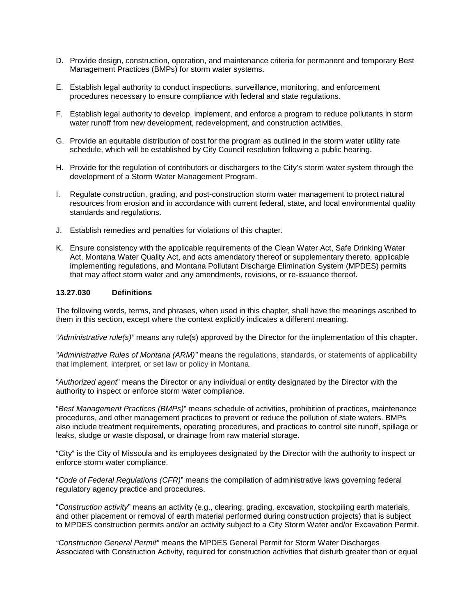- D. Provide design, construction, operation, and maintenance criteria for permanent and temporary Best Management Practices (BMPs) for storm water systems.
- E. Establish legal authority to conduct inspections, surveillance, monitoring, and enforcement procedures necessary to ensure compliance with federal and state regulations.
- F. Establish legal authority to develop, implement, and enforce a program to reduce pollutants in storm water runoff from new development, redevelopment, and construction activities.
- G. Provide an equitable distribution of cost for the program as outlined in the storm water utility rate schedule, which will be established by City Council resolution following a public hearing.
- H. Provide for the regulation of contributors or dischargers to the City's storm water system through the development of a Storm Water Management Program.
- I. Regulate construction, grading, and post-construction storm water management to protect natural resources from erosion and in accordance with current federal, state, and local environmental quality standards and regulations.
- J. Establish remedies and penalties for violations of this chapter.
- K. Ensure consistency with the applicable requirements of the Clean Water Act, Safe Drinking Water Act, Montana Water Quality Act, and acts amendatory thereof or supplementary thereto, applicable implementing regulations, and Montana Pollutant Discharge Elimination System (MPDES) permits that may affect storm water and any amendments, revisions, or re-issuance thereof.

#### <span id="page-1-0"></span>**13.27.030 Definitions**

The following words, terms, and phrases, when used in this chapter, shall have the meanings ascribed to them in this section, except where the context explicitly indicates a different meaning.

*"Administrative rule(s)"* means any rule(s) approved by the Director for the implementation of this chapter.

*"Administrative Rules of Montana (ARM)"* means the regulations, standards, or statements of applicability that implement, interpret, or set law or policy in Montana.

"*Authorized agent*" means the Director or any individual or entity designated by the Director with the authority to inspect or enforce storm water compliance.

"*Best Management Practices (BMPs)*" means schedule of activities, prohibition of practices, maintenance procedures, and other management practices to prevent or reduce the pollution of state waters. BMPs also include treatment requirements, operating procedures, and practices to control site runoff, spillage or leaks, sludge or waste disposal, or drainage from raw material storage.

"City" is the City of Missoula and its employees designated by the Director with the authority to inspect or enforce storm water compliance.

"*Code of Federal Regulations (CFR)*" means the compilation of administrative laws governing federal regulatory agency practice and procedures.

"*Construction activity*" means an activity (e.g., clearing, grading, excavation, stockpiling earth materials, and other placement or removal of earth material performed during construction projects) that is subject to MPDES construction permits and/or an activity subject to a City Storm Water and/or Excavation Permit.

*"Construction General Permit"* means the MPDES General Permit for Storm Water Discharges Associated with Construction Activity, required for construction activities that disturb greater than or equal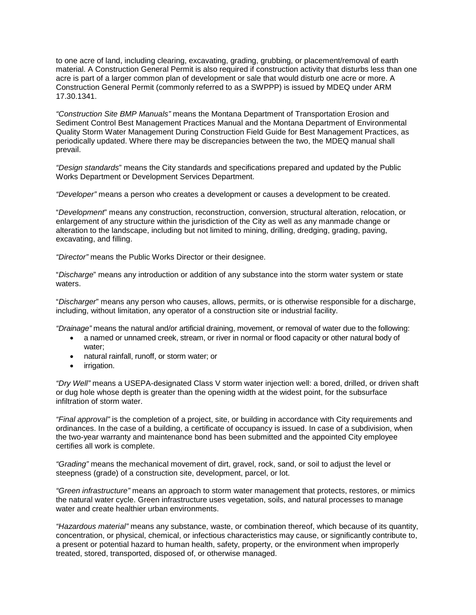to one acre of land, including clearing, excavating, grading, grubbing, or placement/removal of earth material. A Construction General Permit is also required if construction activity that disturbs less than one acre is part of a larger common plan of development or sale that would disturb one acre or more. A Construction General Permit (commonly referred to as a SWPPP) is issued by MDEQ under ARM 17.30.1341.

*"Construction Site BMP Manuals"* means the Montana Department of Transportation Erosion and Sediment Control Best Management Practices Manual and the Montana Department of Environmental Quality Storm Water Management During Construction Field Guide for Best Management Practices, as periodically updated. Where there may be discrepancies between the two, the MDEQ manual shall prevail.

*"Design standards*" means the City standards and specifications prepared and updated by the Public Works Department or Development Services Department.

*"Developer"* means a person who creates a development or causes a development to be created.

"*Development*" means any construction, reconstruction, conversion, structural alteration, relocation, or enlargement of any structure within the jurisdiction of the City as well as any manmade change or alteration to the landscape, including but not limited to mining, drilling, dredging, grading, paving, excavating, and filling.

*"Director"* means the Public Works Director or their designee.

"*Discharge*" means any introduction or addition of any substance into the storm water system or state waters.

"*Discharger*" means any person who causes, allows, permits, or is otherwise responsible for a discharge, including, without limitation, any operator of a construction site or industrial facility.

*"Drainage"* means the natural and/or artificial draining, movement, or removal of water due to the following:

- a named or unnamed creek, stream, or river in normal or flood capacity or other natural body of water;
- natural rainfall, runoff, or storm water; or
- *irrigation*.

*"Dry Well"* means a USEPA-designated Class V storm water injection well: a bored, drilled, or driven shaft or dug hole whose depth is greater than the opening width at the widest point, for the subsurface infiltration of storm water.

*"Final approval"* is the completion of a project, site, or building in accordance with City requirements and ordinances. In the case of a building, a certificate of occupancy is issued. In case of a subdivision, when the two-year warranty and maintenance bond has been submitted and the appointed City employee certifies all work is complete.

*"Grading"* means the mechanical movement of dirt, gravel, rock, sand, or soil to adjust the level or steepness (grade) of a construction site, development, parcel, or lot.

*"Green infrastructure"* means an approach to storm water management that protects, restores, or mimics the natural water cycle. Green infrastructure uses vegetation, soils, and natural processes to manage water and create healthier urban environments.

*"Hazardous material"* means any substance, waste, or combination thereof, which because of its quantity, concentration, or physical, chemical, or infectious characteristics may cause, or significantly contribute to, a present or potential hazard to human health, safety, property, or the environment when improperly treated, stored, transported, disposed of, or otherwise managed.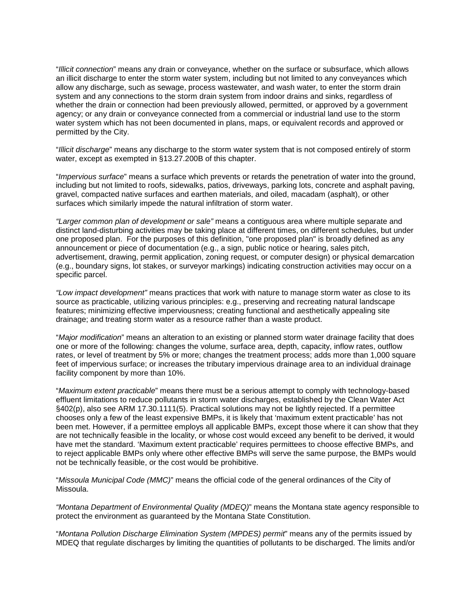"*Illicit connection*" means any drain or conveyance, whether on the surface or subsurface, which allows an illicit discharge to enter the storm water system, including but not limited to any conveyances which allow any discharge, such as sewage, process wastewater, and wash water, to enter the storm drain system and any connections to the storm drain system from indoor drains and sinks, regardless of whether the drain or connection had been previously allowed, permitted, or approved by a government agency; or any drain or conveyance connected from a commercial or industrial land use to the storm water system which has not been documented in plans, maps, or equivalent records and approved or permitted by the City.

"*Illicit discharge*" means any discharge to the storm water system that is not composed entirely of storm water, except as exempted in §13.27.200B of this chapter.

"*Impervious surface*" means a surface which prevents or retards the penetration of water into the ground, including but not limited to roofs, sidewalks, patios, driveways, parking lots, concrete and asphalt paving, gravel, compacted native surfaces and earthen materials, and oiled, macadam (asphalt), or other surfaces which similarly impede the natural infiltration of storm water.

*"Larger common plan of development or sale"* means a contiguous area where multiple separate and distinct land-disturbing activities may be taking place at different times, on different schedules, but under one proposed plan. For the purposes of this definition, "one proposed plan" is broadly defined as any announcement or piece of documentation (e.g., a sign, public notice or hearing, sales pitch, advertisement, drawing, permit application, zoning request, or computer design) or physical demarcation (e.g., boundary signs, lot stakes, or surveyor markings) indicating construction activities may occur on a specific parcel.

*"Low impact development"* means practices that work with nature to manage storm water as close to its source as practicable, utilizing various principles: e.g., preserving and recreating natural landscape features; minimizing effective imperviousness; creating functional and aesthetically appealing site drainage; and treating storm water as a resource rather than a waste product.

"*Major modification*" means an alteration to an existing or planned storm water drainage facility that does one or more of the following: changes the volume, surface area, depth, capacity, inflow rates, outflow rates, or level of treatment by 5% or more; changes the treatment process; adds more than 1,000 square feet of impervious surface; or increases the tributary impervious drainage area to an individual drainage facility component by more than 10%.

"*Maximum extent practicable*" means there must be a serious attempt to comply with technology-based effluent limitations to reduce pollutants in storm water discharges, established by the Clean Water Act §402(p), also see ARM 17.30.1111(5). Practical solutions may not be lightly rejected. If a permittee chooses only a few of the least expensive BMPs, it is likely that 'maximum extent practicable' has not been met. However, if a permittee employs all applicable BMPs, except those where it can show that they are not technically feasible in the locality, or whose cost would exceed any benefit to be derived, it would have met the standard. 'Maximum extent practicable' requires permittees to choose effective BMPs, and to reject applicable BMPs only where other effective BMPs will serve the same purpose, the BMPs would not be technically feasible, or the cost would be prohibitive.

"*Missoula Municipal Code (MMC)*" means the official code of the general ordinances of the City of Missoula.

*"Montana Department of Environmental Quality (MDEQ)*" means the Montana state agency responsible to protect the environment as guaranteed by the Montana State Constitution.

"*Montana Pollution Discharge Elimination System (MPDES) permit*" means any of the permits issued by MDEQ that regulate discharges by limiting the quantities of pollutants to be discharged. The limits and/or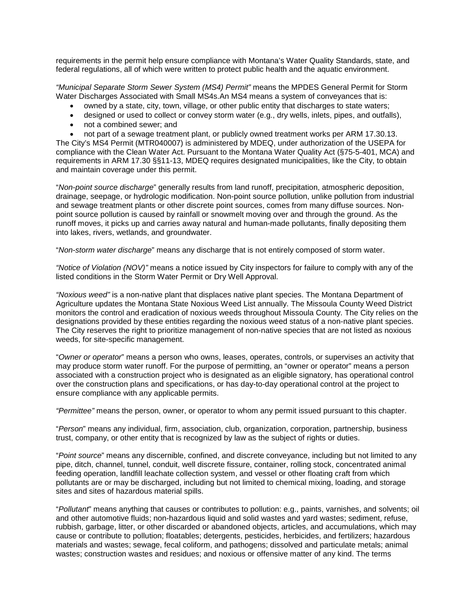requirements in the permit help ensure compliance with Montana's Water Quality Standards, state, and federal regulations, all of which were written to protect public health and the aquatic environment.

*"Municipal Separate Storm Sewer System (MS4) Permit"* means the MPDES General Permit for Storm Water Discharges Associated with Small MS4s.An MS4 means a system of conveyances that is:

- owned by a state, city, town, village, or other public entity that discharges to state waters;
- designed or used to collect or convey storm water (e.g., dry wells, inlets, pipes, and outfalls),
- not a combined sewer; and
- not part of a sewage treatment plant, or publicly owned treatment works per ARM 17.30.13.

The City's MS4 Permit (MTR040007) is administered by MDEQ, under authorization of the USEPA for compliance with the Clean Water Act. Pursuant to the Montana Water Quality Act (§75-5-401, MCA) and requirements in ARM 17.30 §§11-13, MDEQ requires designated municipalities, like the City, to obtain and maintain coverage under this permit.

"*Non-point source discharge*" generally results from land runoff, precipitation, atmospheric deposition, drainage, seepage, or hydrologic modification. Non-point source pollution, unlike pollution from industrial and sewage treatment plants or other discrete point sources, comes from many diffuse sources. Nonpoint source pollution is caused by rainfall or snowmelt moving over and through the ground. As the runoff moves, it picks up and carries away natural and human-made pollutants, finally depositing them into lakes, rivers, wetlands, and groundwater.

"*Non-storm water discharge*" means any discharge that is not entirely composed of storm water.

*"Notice of Violation (NOV)"* means a notice issued by City inspectors for failure to comply with any of the listed conditions in the Storm Water Permit or Dry Well Approval.

*"Noxious weed"* is a non-native plant that displaces native plant species. The Montana Department of Agriculture updates the Montana State Noxious Weed List annually. The Missoula County Weed District monitors the control and eradication of noxious weeds throughout Missoula County. The City relies on the designations provided by these entities regarding the noxious weed status of a non-native plant species. The City reserves the right to prioritize management of non-native species that are not listed as noxious weeds, for site-specific management.

"*Owner or operator*" means a person who owns, leases, operates, controls, or supervises an activity that may produce storm water runoff. For the purpose of permitting, an "owner or operator" means a person associated with a construction project who is designated as an eligible signatory, has operational control over the construction plans and specifications, or has day-to-day operational control at the project to ensure compliance with any applicable permits.

*"Permittee"* means the person, owner, or operator to whom any permit issued pursuant to this chapter.

"*Person*" means any individual, firm, association, club, organization, corporation, partnership, business trust, company, or other entity that is recognized by law as the subject of rights or duties.

"*Point source*" means any discernible, confined, and discrete conveyance, including but not limited to any pipe, ditch, channel, tunnel, conduit, well discrete fissure, container, rolling stock, concentrated animal feeding operation, landfill leachate collection system, and vessel or other floating craft from which pollutants are or may be discharged, including but not limited to chemical mixing, loading, and storage sites and sites of hazardous material spills.

"*Pollutant*" means anything that causes or contributes to pollution: e.g., paints, varnishes, and solvents; oil and other automotive fluids; non-hazardous liquid and solid wastes and yard wastes; sediment, refuse, rubbish, garbage, litter, or other discarded or abandoned objects, articles, and accumulations, which may cause or contribute to pollution; floatables; detergents, pesticides, herbicides, and fertilizers; hazardous materials and wastes; sewage, fecal coliform, and pathogens; dissolved and particulate metals; animal wastes; construction wastes and residues; and noxious or offensive matter of any kind. The terms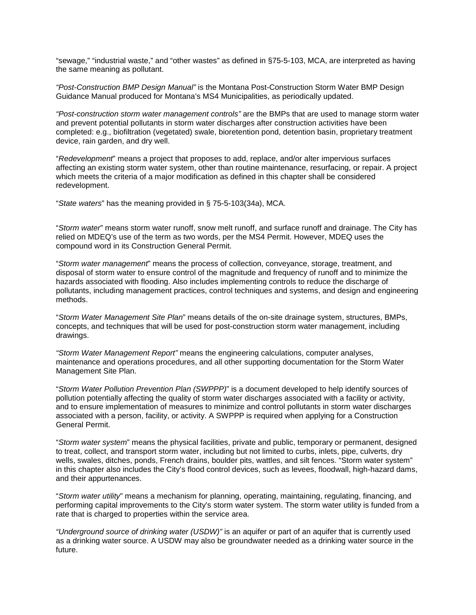"sewage," "industrial waste," and "other wastes" as defined in §75-5-103, MCA, are interpreted as having the same meaning as pollutant.

*"Post-Construction BMP Design Manual"* is the Montana Post-Construction Storm Water BMP Design Guidance Manual produced for Montana's MS4 Municipalities, as periodically updated.

*"Post-construction storm water management controls"* are the BMPs that are used to manage storm water and prevent potential pollutants in storm water discharges after construction activities have been completed: e.g., biofiltration (vegetated) swale, bioretention pond, detention basin, proprietary treatment device, rain garden, and dry well.

"*Redevelopment*" means a project that proposes to add, replace, and/or alter impervious surfaces affecting an existing storm water system, other than routine maintenance, resurfacing, or repair. A project which meets the criteria of a major modification as defined in this chapter shall be considered redevelopment.

"*State waters*" has the meaning provided in § 75-5-103(34a), MCA.

"*Storm water*" means storm water runoff, snow melt runoff, and surface runoff and drainage. The City has relied on MDEQ's use of the term as two words, per the MS4 Permit. However, MDEQ uses the compound word in its Construction General Permit.

"*Storm water management*" means the process of collection, conveyance, storage, treatment, and disposal of storm water to ensure control of the magnitude and frequency of runoff and to minimize the hazards associated with flooding. Also includes implementing controls to reduce the discharge of pollutants, including management practices, control techniques and systems, and design and engineering methods.

"*Storm Water Management Site Plan*" means details of the on-site drainage system, structures, BMPs, concepts, and techniques that will be used for post-construction storm water management, including drawings.

*"Storm Water Management Report"* means the engineering calculations, computer analyses, maintenance and operations procedures, and all other supporting documentation for the Storm Water Management Site Plan.

"*Storm Water Pollution Prevention Plan (SWPPP)*" is a document developed to help identify sources of pollution potentially affecting the quality of storm water discharges associated with a facility or activity, and to ensure implementation of measures to minimize and control pollutants in storm water discharges associated with a person, facility, or activity. A SWPPP is required when applying for a Construction General Permit.

"*Storm water system*" means the physical facilities, private and public, temporary or permanent, designed to treat, collect, and transport storm water, including but not limited to curbs, inlets, pipe, culverts, dry wells, swales, ditches, ponds, French drains, boulder pits, wattles, and silt fences. "Storm water system" in this chapter also includes the City's flood control devices, such as levees, floodwall, high-hazard dams, and their appurtenances.

"*Storm water utility*" means a mechanism for planning, operating, maintaining, regulating, financing, and performing capital improvements to the City's storm water system. The storm water utility is funded from a rate that is charged to properties within the service area.

*"Underground source of drinking water (USDW)"* is an aquifer or part of an aquifer that is currently used as a drinking water source. A USDW may also be groundwater needed as a drinking water source in the future.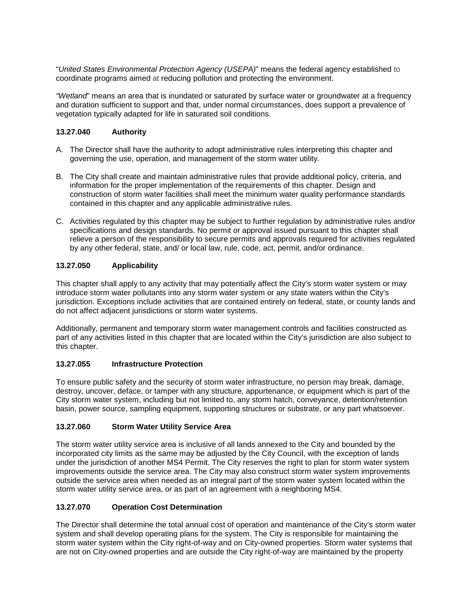"*United States Environmental Protection Agency (USEPA)*" means the federal agency established to coordinate programs aimed at reducing pollution and protecting the environment.

*"Wetland*" means an area that is inundated or saturated by surface water or groundwater at a frequency and duration sufficient to support and that, under normal circumstances, does support a prevalence of vegetation typically adapted for life in saturated soil conditions.

## <span id="page-6-0"></span>**13.27.040 Authority**

- A. The Director shall have the authority to adopt administrative rules interpreting this chapter and governing the use, operation, and management of the storm water utility.
- B. The City shall create and maintain administrative rules that provide additional policy, criteria, and information for the proper implementation of the requirements of this chapter. Design and construction of storm water facilities shall meet the minimum water quality performance standards contained in this chapter and any applicable administrative rules.
- C. Activities regulated by this chapter may be subject to further regulation by administrative rules and/or specifications and design standards. No permit or approval issued pursuant to this chapter shall relieve a person of the responsibility to secure permits and approvals required for activities regulated by any other federal, state, and/ or local law, rule, code, act, permit, and/or ordinance.

## <span id="page-6-1"></span>**13.27.050 Applicability**

This chapter shall apply to any activity that may potentially affect the City's storm water system or may introduce storm water pollutants into any storm water system or any state waters within the City's jurisdiction. Exceptions include activities that are contained entirely on federal, state, or county lands and do not affect adjacent jurisdictions or storm water systems.

Additionally, permanent and temporary storm water management controls and facilities constructed as part of any activities listed in this chapter that are located within the City's jurisdiction are also subject to this chapter.

# **13.27.055 Infrastructure Protection**

To ensure public safety and the security of storm water infrastructure, no person may break, damage, destroy, uncover, deface, or tamper with any structure, appurtenance, or equipment which is part of the City storm water system, including but not limited to, any storm hatch, conveyance, detention/retention basin, power source, sampling equipment, supporting structures or substrate, or any part whatsoever.

### <span id="page-6-2"></span>**13.27.060 Storm Water Utility Service Area**

The storm water utility service area is inclusive of all lands annexed to the City and bounded by the incorporated city limits as the same may be adjusted by the City Council, with the exception of lands under the jurisdiction of another MS4 Permit. The City reserves the right to plan for storm water system improvements outside the service area. The City may also construct storm water system improvements outside the service area when needed as an integral part of the storm water system located within the storm water utility service area, or as part of an agreement with a neighboring MS4.

### <span id="page-6-3"></span>**13.27.070 Operation Cost Determination**

The Director shall determine the total annual cost of operation and maintenance of the City's storm water system and shall develop operating plans for the system. The City is responsible for maintaining the storm water system within the City right-of-way and on City-owned properties. Storm water systems that are not on City-owned properties and are outside the City right-of-way are maintained by the property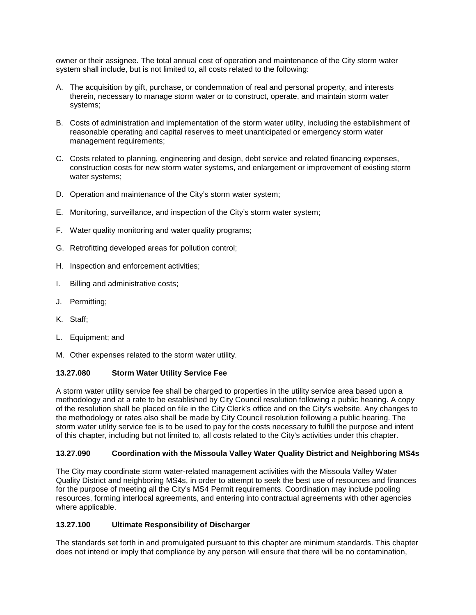owner or their assignee. The total annual cost of operation and maintenance of the City storm water system shall include, but is not limited to, all costs related to the following:

- A. The acquisition by gift, purchase, or condemnation of real and personal property, and interests therein, necessary to manage storm water or to construct, operate, and maintain storm water systems;
- B. Costs of administration and implementation of the storm water utility, including the establishment of reasonable operating and capital reserves to meet unanticipated or emergency storm water management requirements;
- C. Costs related to planning, engineering and design, debt service and related financing expenses, construction costs for new storm water systems, and enlargement or improvement of existing storm water systems;
- D. Operation and maintenance of the City's storm water system;
- E. Monitoring, surveillance, and inspection of the City's storm water system;
- F. Water quality monitoring and water quality programs;
- G. Retrofitting developed areas for pollution control;
- H. Inspection and enforcement activities;
- I. Billing and administrative costs;
- J. Permitting;
- K. Staff;
- L. Equipment; and
- M. Other expenses related to the storm water utility.

#### <span id="page-7-0"></span>**13.27.080 Storm Water Utility Service Fee**

A storm water utility service fee shall be charged to properties in the utility service area based upon a methodology and at a rate to be established by City Council resolution following a public hearing. A copy of the resolution shall be placed on file in the City Clerk's office and on the City's website. Any changes to the methodology or rates also shall be made by City Council resolution following a public hearing. The storm water utility service fee is to be used to pay for the costs necessary to fulfill the purpose and intent of this chapter, including but not limited to, all costs related to the City's activities under this chapter.

#### **13.27.090 Coordination with the Missoula Valley Water Quality District and Neighboring MS4s**

The City may coordinate storm water-related management activities with the Missoula Valley Water Quality District and neighboring MS4s, in order to attempt to seek the best use of resources and finances for the purpose of meeting all the City's MS4 Permit requirements. Coordination may include pooling resources, forming interlocal agreements, and entering into contractual agreements with other agencies where applicable.

#### <span id="page-7-1"></span>**13.27.100 Ultimate Responsibility of Discharger**

The standards set forth in and promulgated pursuant to this chapter are minimum standards. This chapter does not intend or imply that compliance by any person will ensure that there will be no contamination,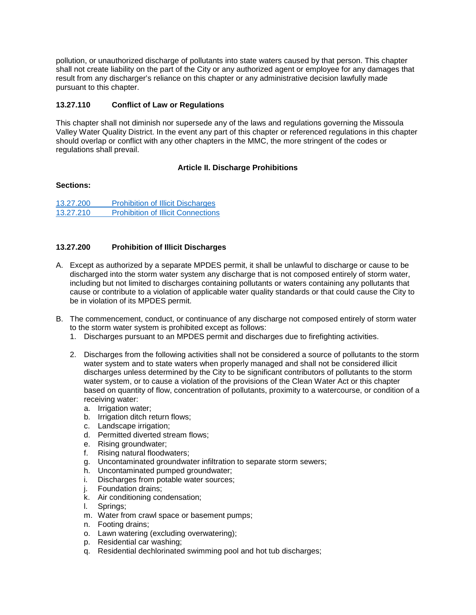pollution, or unauthorized discharge of pollutants into state waters caused by that person. This chapter shall not create liability on the part of the City or any authorized agent or employee for any damages that result from any discharger's reliance on this chapter or any administrative decision lawfully made pursuant to this chapter.

## <span id="page-8-1"></span>**13.27.110 Conflict of Law or Regulations**

This chapter shall not diminish nor supersede any of the laws and regulations governing the Missoula Valley Water Quality District. In the event any part of this chapter or referenced regulations in this chapter should overlap or conflict with any other chapters in the MMC, the more stringent of the codes or regulations shall prevail.

### **Article II. Discharge Prohibitions**

### <span id="page-8-0"></span>**Sections:**

13.27.200 [Prohibition of Illicit Discharges](#page-8-2) 13.27.210 [Prohibition of Illicit Connections](#page-9-0)

### <span id="page-8-2"></span>**13.27.200 Prohibition of Illicit Discharges**

- A. Except as authorized by a separate MPDES permit, it shall be unlawful to discharge or cause to be discharged into the storm water system any discharge that is not composed entirely of storm water, including but not limited to discharges containing pollutants or waters containing any pollutants that cause or contribute to a violation of applicable water quality standards or that could cause the City to be in violation of its MPDES permit.
- B. The commencement, conduct, or continuance of any discharge not composed entirely of storm water to the storm water system is prohibited except as follows:
	- 1. Discharges pursuant to an MPDES permit and discharges due to firefighting activities.
	- 2. Discharges from the following activities shall not be considered a source of pollutants to the storm water system and to state waters when properly managed and shall not be considered illicit discharges unless determined by the City to be significant contributors of pollutants to the storm water system, or to cause a violation of the provisions of the Clean Water Act or this chapter based on quantity of flow, concentration of pollutants, proximity to a watercourse, or condition of a receiving water:
		- a. Irrigation water;
		- b. Irrigation ditch return flows;
		- c. Landscape irrigation;
		- d. Permitted diverted stream flows;
		- e. Rising groundwater;
		- f. Rising natural floodwaters;
		- g. Uncontaminated groundwater infiltration to separate storm sewers;
		- h. Uncontaminated pumped groundwater;
		- i. Discharges from potable water sources;
		- j. Foundation drains;
		- k. Air conditioning condensation;
		- l. Springs;
		- m. Water from crawl space or basement pumps;
		- n. Footing drains;
		- o. Lawn watering (excluding overwatering);
		- p. Residential car washing;
		- q. Residential dechlorinated swimming pool and hot tub discharges;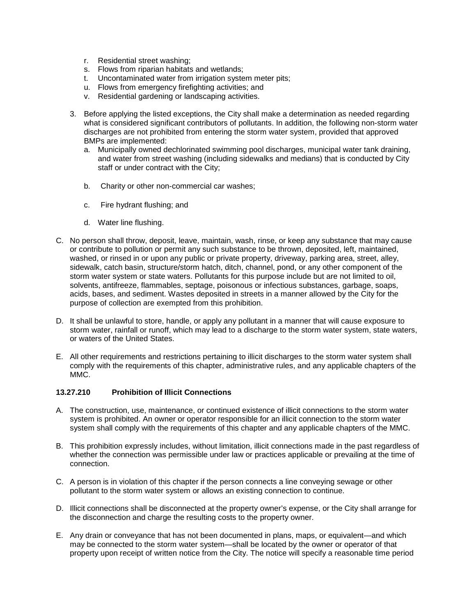- r. Residential street washing;
- s. Flows from riparian habitats and wetlands;
- t. Uncontaminated water from irrigation system meter pits;
- u. Flows from emergency firefighting activities; and
- v. Residential gardening or landscaping activities.
- 3. Before applying the listed exceptions, the City shall make a determination as needed regarding what is considered significant contributors of pollutants. In addition, the following non-storm water discharges are not prohibited from entering the storm water system, provided that approved BMPs are implemented:
	- a. Municipally owned dechlorinated swimming pool discharges, municipal water tank draining, and water from street washing (including sidewalks and medians) that is conducted by City staff or under contract with the City;
	- b. Charity or other non-commercial car washes;
	- c. Fire hydrant flushing; and
	- d. Water line flushing.
- C. No person shall throw, deposit, leave, maintain, wash, rinse, or keep any substance that may cause or contribute to pollution or permit any such substance to be thrown, deposited, left, maintained, washed, or rinsed in or upon any public or private property, driveway, parking area, street, alley, sidewalk, catch basin, structure/storm hatch, ditch, channel, pond, or any other component of the storm water system or state waters. Pollutants for this purpose include but are not limited to oil, solvents, antifreeze, flammables, septage, poisonous or infectious substances, garbage, soaps, acids, bases, and sediment. Wastes deposited in streets in a manner allowed by the City for the purpose of collection are exempted from this prohibition.
- D. It shall be unlawful to store, handle, or apply any pollutant in a manner that will cause exposure to storm water, rainfall or runoff, which may lead to a discharge to the storm water system, state waters, or waters of the United States.
- E. All other requirements and restrictions pertaining to illicit discharges to the storm water system shall comply with the requirements of this chapter, administrative rules, and any applicable chapters of the MMC.

#### <span id="page-9-0"></span>**13.27.210 Prohibition of Illicit Connections**

- A. The construction, use, maintenance, or continued existence of illicit connections to the storm water system is prohibited. An owner or operator responsible for an illicit connection to the storm water system shall comply with the requirements of this chapter and any applicable chapters of the MMC.
- B. This prohibition expressly includes, without limitation, illicit connections made in the past regardless of whether the connection was permissible under law or practices applicable or prevailing at the time of connection.
- C. A person is in violation of this chapter if the person connects a line conveying sewage or other pollutant to the storm water system or allows an existing connection to continue.
- D. Illicit connections shall be disconnected at the property owner's expense, or the City shall arrange for the disconnection and charge the resulting costs to the property owner.
- E. Any drain or conveyance that has not been documented in plans, maps, or equivalent—and which may be connected to the storm water system—shall be located by the owner or operator of that property upon receipt of written notice from the City. The notice will specify a reasonable time period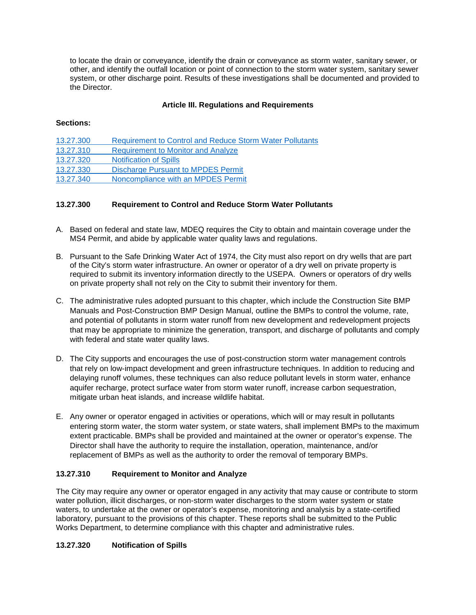to locate the drain or conveyance, identify the drain or conveyance as storm water, sanitary sewer, or other, and identify the outfall location or point of connection to the storm water system, sanitary sewer system, or other discharge point. Results of these investigations shall be documented and provided to the Director.

## **Article III. Regulations and Requirements**

### <span id="page-10-0"></span>**Sections:**

| 13.27.300 | <b>Requirement to Control and Reduce Storm Water Pollutants</b> |
|-----------|-----------------------------------------------------------------|
| 13.27.310 | <b>Requirement to Monitor and Analyze</b>                       |
| 13.27.320 | <b>Notification of Spills</b>                                   |
| 13.27.330 | <b>Discharge Pursuant to MPDES Permit</b>                       |
| 13.27.340 | Noncompliance with an MPDES Permit                              |

### <span id="page-10-1"></span>**13.27.300 Requirement to Control and Reduce Storm Water Pollutants**

- A. Based on federal and state law, MDEQ requires the City to obtain and maintain coverage under the MS4 Permit, and abide by applicable water quality laws and regulations.
- B. Pursuant to the Safe Drinking Water Act of 1974, the City must also report on dry wells that are part of the City's storm water infrastructure. An owner or operator of a dry well on private property is required to submit its inventory information directly to the USEPA. Owners or operators of dry wells on private property shall not rely on the City to submit their inventory for them.
- C. The administrative rules adopted pursuant to this chapter, which include the Construction Site BMP Manuals and Post-Construction BMP Design Manual, outline the BMPs to control the volume, rate, and potential of pollutants in storm water runoff from new development and redevelopment projects that may be appropriate to minimize the generation, transport, and discharge of pollutants and comply with federal and state water quality laws.
- D. The City supports and encourages the use of post-construction storm water management controls that rely on low-impact development and green infrastructure techniques. In addition to reducing and delaying runoff volumes, these techniques can also reduce pollutant levels in storm water, enhance aquifer recharge, protect surface water from storm water runoff, increase carbon sequestration, mitigate urban heat islands, and increase wildlife habitat.
- E. Any owner or operator engaged in activities or operations, which will or may result in pollutants entering storm water, the storm water system, or state waters, shall implement BMPs to the maximum extent practicable. BMPs shall be provided and maintained at the owner or operator's expense. The Director shall have the authority to require the installation, operation, maintenance, and/or replacement of BMPs as well as the authority to order the removal of temporary BMPs.

### <span id="page-10-2"></span>**13.27.310 Requirement to Monitor and Analyze**

The City may require any owner or operator engaged in any activity that may cause or contribute to storm water pollution, illicit discharges, or non-storm water discharges to the storm water system or state waters, to undertake at the owner or operator's expense, monitoring and analysis by a state-certified laboratory, pursuant to the provisions of this chapter. These reports shall be submitted to the Public Works Department, to determine compliance with this chapter and administrative rules.

### <span id="page-10-3"></span>**13.27.320 Notification of Spills**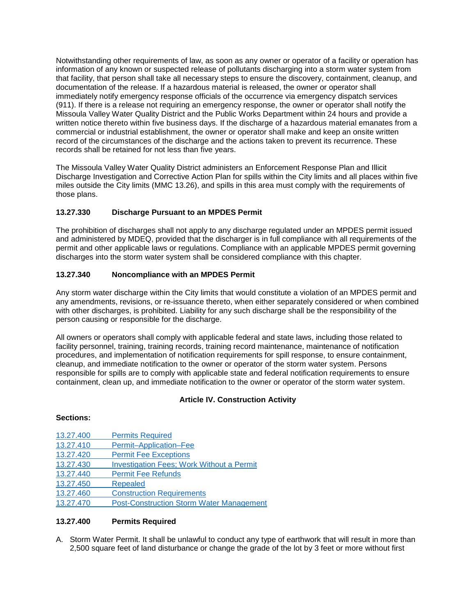Notwithstanding other requirements of law, as soon as any owner or operator of a facility or operation has information of any known or suspected release of pollutants discharging into a storm water system from that facility, that person shall take all necessary steps to ensure the discovery, containment, cleanup, and documentation of the release. If a hazardous material is released, the owner or operator shall immediately notify emergency response officials of the occurrence via emergency dispatch services (911). If there is a release not requiring an emergency response, the owner or operator shall notify the Missoula Valley Water Quality District and the Public Works Department within 24 hours and provide a written notice thereto within five business days. If the discharge of a hazardous material emanates from a commercial or industrial establishment, the owner or operator shall make and keep an onsite written record of the circumstances of the discharge and the actions taken to prevent its recurrence. These records shall be retained for not less than five years.

The Missoula Valley Water Quality District administers an Enforcement Response Plan and Illicit Discharge Investigation and Corrective Action Plan for spills within the City limits and all places within five miles outside the City limits (MMC 13.26), and spills in this area must comply with the requirements of those plans.

## <span id="page-11-1"></span>**13.27.330 Discharge Pursuant to an MPDES Permit**

The prohibition of discharges shall not apply to any discharge regulated under an MPDES permit issued and administered by MDEQ, provided that the discharger is in full compliance with all requirements of the permit and other applicable laws or regulations. Compliance with an applicable MPDES permit governing discharges into the storm water system shall be considered compliance with this chapter.

### <span id="page-11-2"></span>**13.27.340 Noncompliance with an MPDES Permit**

Any storm water discharge within the City limits that would constitute a violation of an MPDES permit and any amendments, revisions, or re-issuance thereto, when either separately considered or when combined with other discharges, is prohibited. Liability for any such discharge shall be the responsibility of the person causing or responsible for the discharge.

All owners or operators shall comply with applicable federal and state laws, including those related to facility personnel, training, training records, training record maintenance, maintenance of notification procedures, and implementation of notification requirements for spill response, to ensure containment, cleanup, and immediate notification to the owner or operator of the storm water system. Persons responsible for spills are to comply with applicable state and federal notification requirements to ensure containment, clean up, and immediate notification to the owner or operator of the storm water system.

### **Article IV. Construction Activity**

#### <span id="page-11-0"></span>**Sections:**

- 13.27.400 [Permits Required](#page-11-3)
- 13.27.410 [Permit–Application–Fee](#page-13-0)
- 13.27.420 [Permit Fee Exceptions](#page-13-1)
- 13.27.430 [Investigation Fees; Work Without a Permit](#page-13-2)
- 13.27.440 [Permit Fee Refunds](#page-13-3)

[13.27.450](#page-13-4) Repealed

- 13.27.460 [Construction Requirements](#page-13-5)
- 13.27.470 [Post-Construction Storm Water Management](#page-15-1)

#### <span id="page-11-3"></span>**13.27.400 Permits Required**

A. Storm Water Permit. It shall be unlawful to conduct any type of earthwork that will result in more than 2,500 square feet of land disturbance or change the grade of the lot by 3 feet or more without first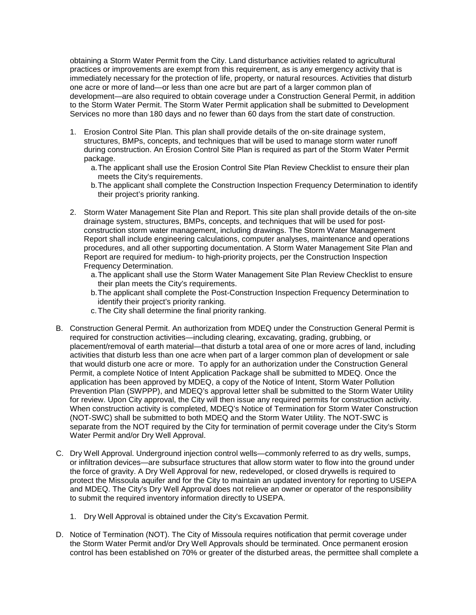obtaining a Storm Water Permit from the City. Land disturbance activities related to agricultural practices or improvements are exempt from this requirement, as is any emergency activity that is immediately necessary for the protection of life, property, or natural resources. Activities that disturb one acre or more of land—or less than one acre but are part of a larger common plan of development—are also required to obtain coverage under a Construction General Permit, in addition to the Storm Water Permit. The Storm Water Permit application shall be submitted to Development Services no more than 180 days and no fewer than 60 days from the start date of construction.

- 1. Erosion Control Site Plan. This plan shall provide details of the on-site drainage system, structures, BMPs, concepts, and techniques that will be used to manage storm water runoff during construction. An Erosion Control Site Plan is required as part of the Storm Water Permit package.
	- a.The applicant shall use the Erosion Control Site Plan Review Checklist to ensure their plan meets the City's requirements.
	- b.The applicant shall complete the Construction Inspection Frequency Determination to identify their project's priority ranking.
- 2. Storm Water Management Site Plan and Report. This site plan shall provide details of the on-site drainage system, structures, BMPs, concepts, and techniques that will be used for postconstruction storm water management, including drawings. The Storm Water Management Report shall include engineering calculations, computer analyses, maintenance and operations procedures, and all other supporting documentation. A Storm Water Management Site Plan and Report are required for medium- to high-priority projects, per the Construction Inspection Frequency Determination.
	- a.The applicant shall use the Storm Water Management Site Plan Review Checklist to ensure their plan meets the City's requirements.
	- b.The applicant shall complete the Post-Construction Inspection Frequency Determination to identify their project's priority ranking.
	- c.The City shall determine the final priority ranking.
- B. Construction General Permit. An authorization from MDEQ under the Construction General Permit is required for construction activities—including clearing, excavating, grading, grubbing, or placement/removal of earth material—that disturb a total area of one or more acres of land, including activities that disturb less than one acre when part of a larger common plan of development or sale that would disturb one acre or more. To apply for an authorization under the Construction General Permit, a complete Notice of Intent Application Package shall be submitted to MDEQ. Once the application has been approved by MDEQ, a copy of the Notice of Intent, Storm Water Pollution Prevention Plan (SWPPP), and MDEQ's approval letter shall be submitted to the Storm Water Utility for review. Upon City approval, the City will then issue any required permits for construction activity. When construction activity is completed, MDEQ's Notice of Termination for Storm Water Construction (NOT-SWC) shall be submitted to both MDEQ and the Storm Water Utility. The NOT-SWC is separate from the NOT required by the City for termination of permit coverage under the City's Storm Water Permit and/or Dry Well Approval.
- C. Dry Well Approval. Underground injection control wells—commonly referred to as dry wells, sumps, or infiltration devices—are subsurface structures that allow storm water to flow into the ground under the force of gravity. A Dry Well Approval for new, redeveloped, or closed drywells is required to protect the Missoula aquifer and for the City to maintain an updated inventory for reporting to USEPA and MDEQ. The City's Dry Well Approval does not relieve an owner or operator of the responsibility to submit the required inventory information directly to USEPA.
	- 1. Dry Well Approval is obtained under the City's Excavation Permit.
- D. Notice of Termination (NOT). The City of Missoula requires notification that permit coverage under the Storm Water Permit and/or Dry Well Approvals should be terminated. Once permanent erosion control has been established on 70% or greater of the disturbed areas, the permittee shall complete a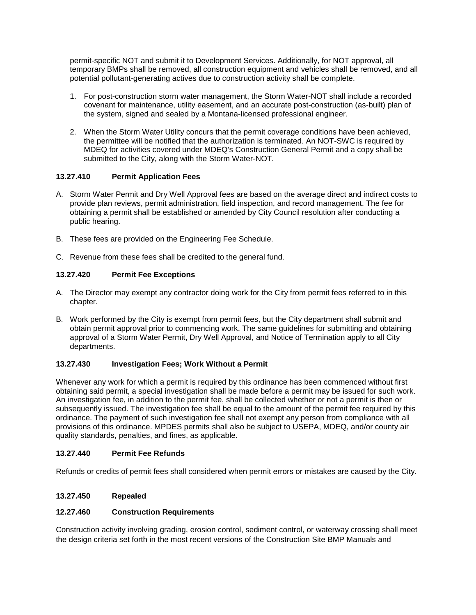permit-specific NOT and submit it to Development Services. Additionally, for NOT approval, all temporary BMPs shall be removed, all construction equipment and vehicles shall be removed, and all potential pollutant-generating actives due to construction activity shall be complete.

- 1. For post-construction storm water management, the Storm Water-NOT shall include a recorded covenant for maintenance, utility easement, and an accurate post-construction (as-built) plan of the system, signed and sealed by a Montana-licensed professional engineer.
- 2. When the Storm Water Utility concurs that the permit coverage conditions have been achieved, the permittee will be notified that the authorization is terminated. An NOT-SWC is required by MDEQ for activities covered under MDEQ's Construction General Permit and a copy shall be submitted to the City, along with the Storm Water-NOT.

## <span id="page-13-0"></span>**13.27.410 Permit Application Fees**

- A. Storm Water Permit and Dry Well Approval fees are based on the average direct and indirect costs to provide plan reviews, permit administration, field inspection, and record management. The fee for obtaining a permit shall be established or amended by City Council resolution after conducting a public hearing.
- B. These fees are provided on the Engineering Fee Schedule.
- C. Revenue from these fees shall be credited to the general fund.

# <span id="page-13-1"></span>**13.27.420 Permit Fee Exceptions**

- A. The Director may exempt any contractor doing work for the City from permit fees referred to in this chapter.
- B. Work performed by the City is exempt from permit fees, but the City department shall submit and obtain permit approval prior to commencing work. The same guidelines for submitting and obtaining approval of a Storm Water Permit, Dry Well Approval, and Notice of Termination apply to all City departments.

### <span id="page-13-2"></span>**13.27.430 Investigation Fees; Work Without a Permit**

Whenever any work for which a permit is required by this ordinance has been commenced without first obtaining said permit, a special investigation shall be made before a permit may be issued for such work. An investigation fee, in addition to the permit fee, shall be collected whether or not a permit is then or subsequently issued. The investigation fee shall be equal to the amount of the permit fee required by this ordinance. The payment of such investigation fee shall not exempt any person from compliance with all provisions of this ordinance. MPDES permits shall also be subject to USEPA, MDEQ, and/or county air quality standards, penalties, and fines, as applicable.

### <span id="page-13-3"></span>**13.27.440 Permit Fee Refunds**

Refunds or credits of permit fees shall considered when permit errors or mistakes are caused by the City.

# <span id="page-13-4"></span>**13.27.450 Repealed**

### <span id="page-13-5"></span>**12.27.460 Construction Requirements**

Construction activity involving grading, erosion control, sediment control, or waterway crossing shall meet the design criteria set forth in the most recent versions of the Construction Site BMP Manuals and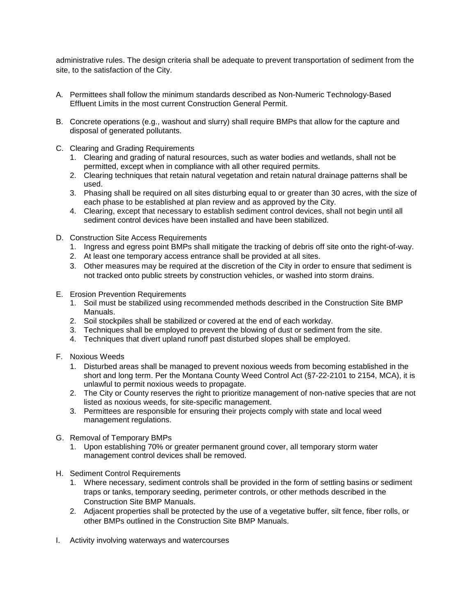administrative rules. The design criteria shall be adequate to prevent transportation of sediment from the site, to the satisfaction of the City.

- A. Permittees shall follow the minimum standards described as Non-Numeric Technology-Based Effluent Limits in the most current Construction General Permit.
- B. Concrete operations (e.g., washout and slurry) shall require BMPs that allow for the capture and disposal of generated pollutants.
- C. Clearing and Grading Requirements
	- 1. Clearing and grading of natural resources, such as water bodies and wetlands, shall not be permitted, except when in compliance with all other required permits.
	- 2. Clearing techniques that retain natural vegetation and retain natural drainage patterns shall be used.
	- 3. Phasing shall be required on all sites disturbing equal to or greater than 30 acres, with the size of each phase to be established at plan review and as approved by the City.
	- 4. Clearing, except that necessary to establish sediment control devices, shall not begin until all sediment control devices have been installed and have been stabilized.
- D. Construction Site Access Requirements
	- 1. Ingress and egress point BMPs shall mitigate the tracking of debris off site onto the right-of-way.
	- 2. At least one temporary access entrance shall be provided at all sites.
	- 3. Other measures may be required at the discretion of the City in order to ensure that sediment is not tracked onto public streets by construction vehicles, or washed into storm drains.
- E. Erosion Prevention Requirements
	- 1. Soil must be stabilized using recommended methods described in the Construction Site BMP Manuals.
	- 2. Soil stockpiles shall be stabilized or covered at the end of each workday.
	- 3. Techniques shall be employed to prevent the blowing of dust or sediment from the site.
	- 4. Techniques that divert upland runoff past disturbed slopes shall be employed.
- F. Noxious Weeds
	- 1. Disturbed areas shall be managed to prevent noxious weeds from becoming established in the short and long term. Per the Montana County Weed Control Act (§7-22-2101 to 2154, MCA), it is unlawful to permit noxious weeds to propagate.
	- 2. The City or County reserves the right to prioritize management of non-native species that are not listed as noxious weeds, for site-specific management.
	- 3. Permittees are responsible for ensuring their projects comply with state and local weed management regulations.
- G. Removal of Temporary BMPs
	- 1. Upon establishing 70% or greater permanent ground cover, all temporary storm water management control devices shall be removed.
- H. Sediment Control Requirements
	- 1. Where necessary, sediment controls shall be provided in the form of settling basins or sediment traps or tanks, temporary seeding, perimeter controls, or other methods described in the Construction Site BMP Manuals.
	- 2. Adjacent properties shall be protected by the use of a vegetative buffer, silt fence, fiber rolls, or other BMPs outlined in the Construction Site BMP Manuals.
- I. Activity involving waterways and watercourses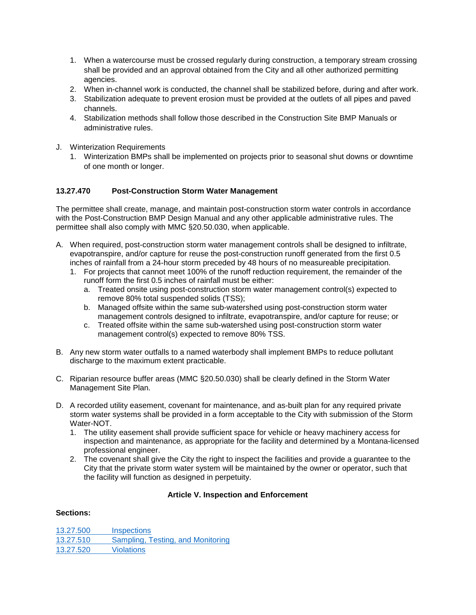- 1. When a watercourse must be crossed regularly during construction, a temporary stream crossing shall be provided and an approval obtained from the City and all other authorized permitting agencies.
- 2. When in-channel work is conducted, the channel shall be stabilized before, during and after work.
- 3. Stabilization adequate to prevent erosion must be provided at the outlets of all pipes and paved channels.
- 4. Stabilization methods shall follow those described in the Construction Site BMP Manuals or administrative rules.
- J. Winterization Requirements
	- 1. Winterization BMPs shall be implemented on projects prior to seasonal shut downs or downtime of one month or longer.

### <span id="page-15-1"></span>**13.27.470 Post-Construction Storm Water Management**

The permittee shall create, manage, and maintain post-construction storm water controls in accordance with the Post-Construction BMP Design Manual and any other applicable administrative rules. The permittee shall also comply with MMC §20.50.030, when applicable.

- A. When required, post-construction storm water management controls shall be designed to infiltrate, evapotranspire, and/or capture for reuse the post-construction runoff generated from the first 0.5 inches of rainfall from a 24-hour storm preceded by 48 hours of no measureable precipitation.
	- 1. For projects that cannot meet 100% of the runoff reduction requirement, the remainder of the runoff form the first 0.5 inches of rainfall must be either:
		- a. Treated onsite using post-construction storm water management control(s) expected to remove 80% total suspended solids (TSS);
		- b. Managed offsite within the same sub-watershed using post-construction storm water management controls designed to infiltrate, evapotranspire, and/or capture for reuse; or
		- c. Treated offsite within the same sub-watershed using post-construction storm water management control(s) expected to remove 80% TSS.
- B. Any new storm water outfalls to a named waterbody shall implement BMPs to reduce pollutant discharge to the maximum extent practicable.
- C. Riparian resource buffer areas (MMC §20.50.030) shall be clearly defined in the Storm Water Management Site Plan.
- D. A recorded utility easement, covenant for maintenance, and as-built plan for any required private storm water systems shall be provided in a form acceptable to the City with submission of the Storm Water-NOT.
	- 1. The utility easement shall provide sufficient space for vehicle or heavy machinery access for inspection and maintenance, as appropriate for the facility and determined by a Montana-licensed professional engineer.
	- 2. The covenant shall give the City the right to inspect the facilities and provide a guarantee to the City that the private storm water system will be maintained by the owner or operator, such that the facility will function as designed in perpetuity.

### **Article V. Inspection and Enforcement**

#### <span id="page-15-0"></span>**Sections:**

13.27.500 [Inspections](#page-16-0) 13.27.510 [Sampling, Testing, and Monitoring](#page-16-1) [13.27.520](#page-16-2) Violations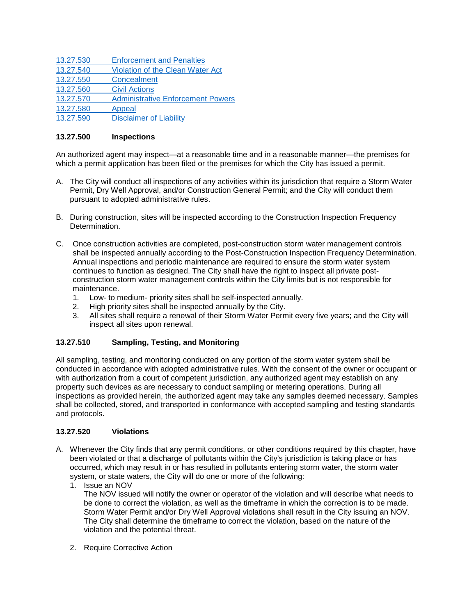| 13.27.530 | <b>Enforcement and Penalties</b>         |
|-----------|------------------------------------------|
| 13.27.540 | <b>Violation of the Clean Water Act</b>  |
| 13.27.550 | Concealment                              |
| 13.27.560 | <b>Civil Actions</b>                     |
| 13.27.570 | <b>Administrative Enforcement Powers</b> |
| 13.27.580 | Appeal                                   |
| 13.27.590 | <b>Disclaimer of Liability</b>           |
|           |                                          |

### <span id="page-16-0"></span>**13.27.500 Inspections**

An authorized agent may inspect—at a reasonable time and in a reasonable manner—the premises for which a permit application has been filed or the premises for which the City has issued a permit.

- A. The City will conduct all inspections of any activities within its jurisdiction that require a Storm Water Permit, Dry Well Approval, and/or Construction General Permit; and the City will conduct them pursuant to adopted administrative rules.
- B. During construction, sites will be inspected according to the Construction Inspection Frequency Determination.
- C. Once construction activities are completed, post-construction storm water management controls shall be inspected annually according to the Post-Construction Inspection Frequency Determination. Annual inspections and periodic maintenance are required to ensure the storm water system continues to function as designed. The City shall have the right to inspect all private postconstruction storm water management controls within the City limits but is not responsible for maintenance.
	- 1. Low- to medium- priority sites shall be self-inspected annually.
	- 2. High priority sites shall be inspected annually by the City.<br>3. All sites shall require a renewal of their Storm Water Perm
	- 3. All sites shall require a renewal of their Storm Water Permit every five years; and the City will inspect all sites upon renewal.

### <span id="page-16-1"></span>**13.27.510 Sampling, Testing, and Monitoring**

All sampling, testing, and monitoring conducted on any portion of the storm water system shall be conducted in accordance with adopted administrative rules. With the consent of the owner or occupant or with authorization from a court of competent jurisdiction, any authorized agent may establish on any property such devices as are necessary to conduct sampling or metering operations. During all inspections as provided herein, the authorized agent may take any samples deemed necessary. Samples shall be collected, stored, and transported in conformance with accepted sampling and testing standards and protocols.

#### <span id="page-16-2"></span>**13.27.520 Violations**

- A. Whenever the City finds that any permit conditions, or other conditions required by this chapter, have been violated or that a discharge of pollutants within the City's jurisdiction is taking place or has occurred, which may result in or has resulted in pollutants entering storm water, the storm water system, or state waters, the City will do one or more of the following:
	- 1. Issue an NOV

The NOV issued will notify the owner or operator of the violation and will describe what needs to be done to correct the violation, as well as the timeframe in which the correction is to be made. Storm Water Permit and/or Dry Well Approval violations shall result in the City issuing an NOV. The City shall determine the timeframe to correct the violation, based on the nature of the violation and the potential threat.

2. Require Corrective Action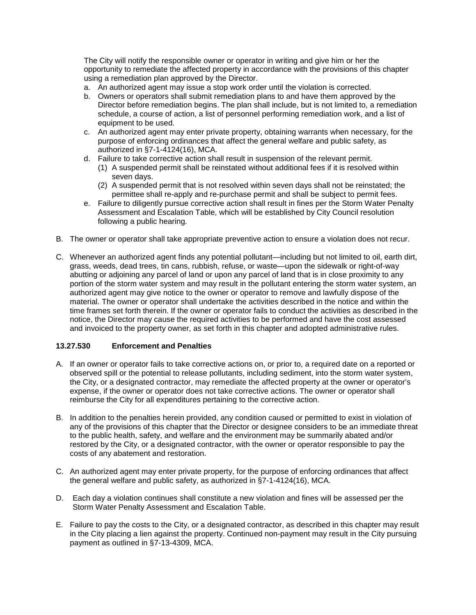The City will notify the responsible owner or operator in writing and give him or her the opportunity to remediate the affected property in accordance with the provisions of this chapter using a remediation plan approved by the Director.

- a. An authorized agent may issue a stop work order until the violation is corrected.
- b. Owners or operators shall submit remediation plans to and have them approved by the Director before remediation begins. The plan shall include, but is not limited to, a remediation schedule, a course of action, a list of personnel performing remediation work, and a list of equipment to be used.
- c. An authorized agent may enter private property, obtaining warrants when necessary, for the purpose of enforcing ordinances that affect the general welfare and public safety, as authorized in §7-1-4124(16), MCA.
- d. Failure to take corrective action shall result in suspension of the relevant permit.
	- (1) A suspended permit shall be reinstated without additional fees if it is resolved within seven days.
	- (2) A suspended permit that is not resolved within seven days shall not be reinstated; the permittee shall re-apply and re-purchase permit and shall be subject to permit fees.
- e. Failure to diligently pursue corrective action shall result in fines per the Storm Water Penalty Assessment and Escalation Table, which will be established by City Council resolution following a public hearing.
- B. The owner or operator shall take appropriate preventive action to ensure a violation does not recur.
- C. Whenever an authorized agent finds any potential pollutant—including but not limited to oil, earth dirt, grass, weeds, dead trees, tin cans, rubbish, refuse, or waste—upon the sidewalk or right-of-way abutting or adjoining any parcel of land or upon any parcel of land that is in close proximity to any portion of the storm water system and may result in the pollutant entering the storm water system, an authorized agent may give notice to the owner or operator to remove and lawfully dispose of the material. The owner or operator shall undertake the activities described in the notice and within the time frames set forth therein. If the owner or operator fails to conduct the activities as described in the notice, the Director may cause the required activities to be performed and have the cost assessed and invoiced to the property owner, as set forth in this chapter and adopted administrative rules.

### <span id="page-17-0"></span>**13.27.530 Enforcement and Penalties**

- A. If an owner or operator fails to take corrective actions on, or prior to, a required date on a reported or observed spill or the potential to release pollutants, including sediment, into the storm water system, the City, or a designated contractor, may remediate the affected property at the owner or operator's expense, if the owner or operator does not take corrective actions. The owner or operator shall reimburse the City for all expenditures pertaining to the corrective action.
- B. In addition to the penalties herein provided, any condition caused or permitted to exist in violation of any of the provisions of this chapter that the Director or designee considers to be an immediate threat to the public health, safety, and welfare and the environment may be summarily abated and/or restored by the City, or a designated contractor, with the owner or operator responsible to pay the costs of any abatement and restoration.
- C. An authorized agent may enter private property, for the purpose of enforcing ordinances that affect the general welfare and public safety, as authorized in §7-1-4124(16), MCA.
- D. Each day a violation continues shall constitute a new violation and fines will be assessed per the Storm Water Penalty Assessment and Escalation Table.
- E. Failure to pay the costs to the City, or a designated contractor, as described in this chapter may result in the City placing a lien against the property. Continued non-payment may result in the City pursuing payment as outlined in §7-13-4309, MCA.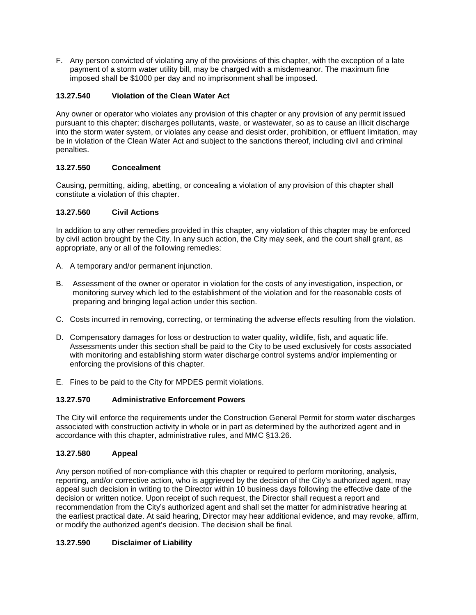F. Any person convicted of violating any of the provisions of this chapter, with the exception of a late payment of a storm water utility bill, may be charged with a misdemeanor. The maximum fine imposed shall be \$1000 per day and no imprisonment shall be imposed.

## <span id="page-18-0"></span>**13.27.540 Violation of the Clean Water Act**

Any owner or operator who violates any provision of this chapter or any provision of any permit issued pursuant to this chapter; discharges pollutants, waste, or wastewater, so as to cause an illicit discharge into the storm water system, or violates any cease and desist order, prohibition, or effluent limitation, may be in violation of the Clean Water Act and subject to the sanctions thereof, including civil and criminal penalties.

### <span id="page-18-1"></span>**13.27.550 Concealment**

Causing, permitting, aiding, abetting, or concealing a violation of any provision of this chapter shall constitute a violation of this chapter.

### <span id="page-18-2"></span>**13.27.560 Civil Actions**

In addition to any other remedies provided in this chapter, any violation of this chapter may be enforced by civil action brought by the City. In any such action, the City may seek, and the court shall grant, as appropriate, any or all of the following remedies:

- A. A temporary and/or permanent injunction.
- B. Assessment of the owner or operator in violation for the costs of any investigation, inspection, or monitoring survey which led to the establishment of the violation and for the reasonable costs of preparing and bringing legal action under this section.
- C. Costs incurred in removing, correcting, or terminating the adverse effects resulting from the violation.
- D. Compensatory damages for loss or destruction to water quality, wildlife, fish, and aquatic life. Assessments under this section shall be paid to the City to be used exclusively for costs associated with monitoring and establishing storm water discharge control systems and/or implementing or enforcing the provisions of this chapter.
- E. Fines to be paid to the City for MPDES permit violations.

### <span id="page-18-3"></span>**13.27.570 Administrative Enforcement Powers**

The City will enforce the requirements under the Construction General Permit for storm water discharges associated with construction activity in whole or in part as determined by the authorized agent and in accordance with this chapter, administrative rules, and MMC §13.26.

### <span id="page-18-4"></span>**13.27.580 Appeal**

Any person notified of non-compliance with this chapter or required to perform monitoring, analysis, reporting, and/or corrective action, who is aggrieved by the decision of the City's authorized agent, may appeal such decision in writing to the Director within 10 business days following the effective date of the decision or written notice. Upon receipt of such request, the Director shall request a report and recommendation from the City's authorized agent and shall set the matter for administrative hearing at the earliest practical date. At said hearing, Director may hear additional evidence, and may revoke, affirm, or modify the authorized agent's decision. The decision shall be final.

### <span id="page-18-5"></span>**13.27.590 Disclaimer of Liability**